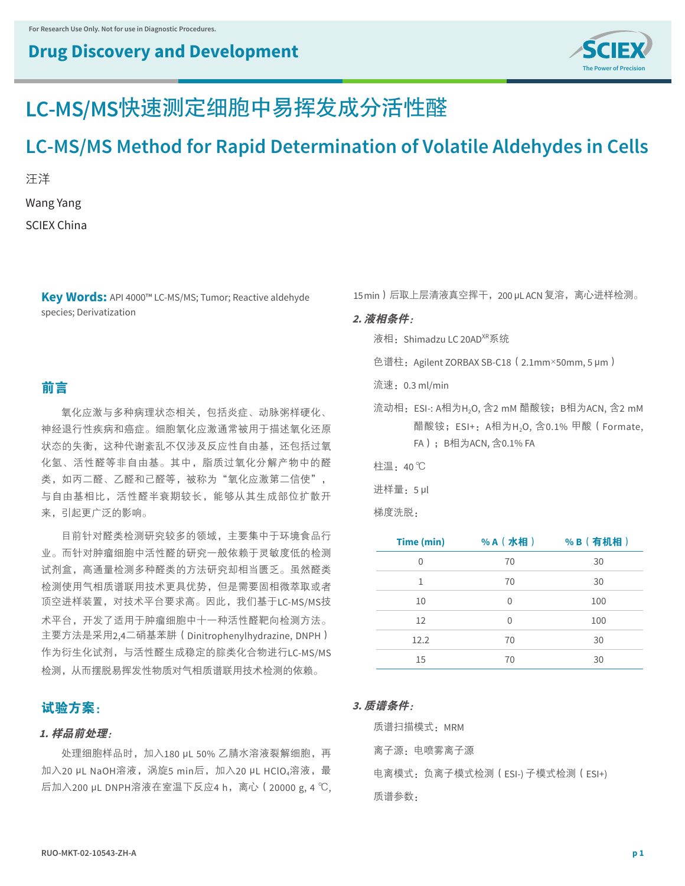## **Drug Discovery and Development**



# **LC-MS/MS**快速测定细胞中易挥发成分活性醛

## **LC-MS/MS Method for Rapid Determination of Volatile Aldehydes in Cells**

汪洋 Wang Yang SCIEX China

> **Key Words:** API 4000™ LC-MS/MS; Tumor; Reactive aldehyde species; Derivatization

### 前言

氧化应激与多种病理状态相关,包括炎症、动脉粥样硬化、 神经退行性疾病和癌症。细胞氧化应激通常被用于描述氧化还原 状态的失衡,这种代谢紊乱不仅涉及反应性自由基,还包括过氧 化氢、活性醛等非自由基。其中,脂质过氧化分解产物中的醛 类,如丙二醛、乙醛和己醛等,被称为"氧化应激第二信使", 与自由基相比,活性醛半衰期较长,能够从其生成部位扩散开 来,引起更广泛的影响。

目前针对醛类检测研究较多的领域,主要集中于环境食品行 业。而针对肿瘤细胞中活性醛的研究一般依赖于灵敏度低的检测 试剂盒,高通量检测多种醛类的方法研究却相当匮乏。虽然醛类 检测使用气相质谱联用技术更具优势,但是需要固相微萃取或者 顶空进样装置,对技术平台要求高。因此,我们基于LC-MS/MS技 术平台,开发了适用于肿瘤细胞中十一种活性醛靶向检测方法。 主要方法是采用2,4二硝基苯肼(Dinitrophenylhydrazine, DNPH) 作为衍生化试剂,与活性醛生成稳定的腙类化合物进行LC-MS/MS 检测,从而摆脱易挥发性物质对气相质谱联用技术检测的依赖。

### 试验方案:

#### **1.** 样品前处理:

处理细胞样品时,加入180 μL 50% 乙腈水溶液裂解细胞,再 加入20 μL NaOH溶液, 涡旋5 min后, 加入20 μL HClO<sub>4</sub>溶液, 最 后加入200 μL DNPH溶液在室温下反应4 h,离心(20000 g, 4 ℃, 15 min)后取上层清液真空挥干,200 μL ACN 复溶,离心进样检测。

#### **2.** 液相条件:

液相: Shimadzu LC 20AD<sup>XR</sup>系统

- 色谱柱:Agilent ZORBAX SB-C18(2.1mm×50mm, 5 μm)
- 流速:0.3 ml/min
- 流动相: ESI-: A相为H<sub>2</sub>O, 含2 mM 醋酸铵; B相为ACN, 含2 mM 醋酸铵; ESI+: A相为H<sub>2</sub>O, 含0.1% 甲酸 (Formate, FA);B相为ACN, 含0.1% FA
- 柱温:40 ℃

进样量:5 μl

梯度洗脱:

| Time (min)        | %A (水相) | %B(有机相) |
|-------------------|---------|---------|
| 0                 | 70      | 30      |
| 1                 | 70      | 30      |
| 10                | 0       | 100     |
| $12 \overline{ }$ | O       | 100     |
| 12.2              | 70      | 30      |
| 15                | 70      | 30      |

#### **3.** 质谱条件:

质谱扫描模式: MRM 离子源:电喷雾离子源 电离模式:负离子模式检测(ESI-) 子模式检测(ESI+) 质谱参数: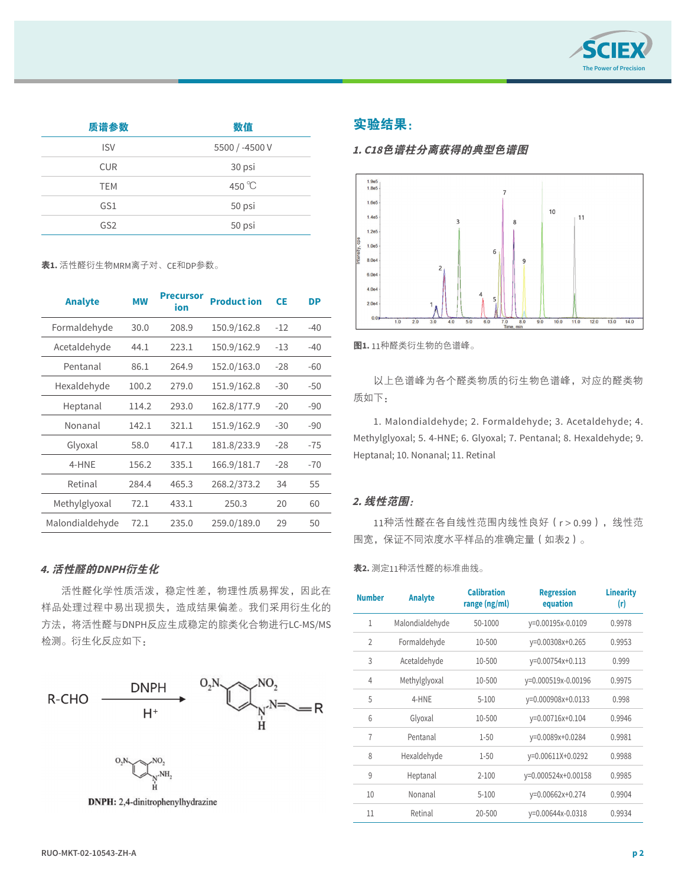

| 质谱参数            | 数值              |
|-----------------|-----------------|
| <b>ISV</b>      | 5500 / -4500 V  |
| <b>CUR</b>      | 30 psi          |
| <b>TEM</b>      | 450 $\degree$ C |
| GS1             | 50 psi          |
| GS <sub>2</sub> | 50 psi          |

表**1.** 活性醛衍生物MRM离子对、CE和DP参数。

| <b>Analyte</b>  | <b>MW</b> | <b>Precursor</b><br>ion | <b>Product ion</b> | <b>CE</b> | <b>DP</b> |
|-----------------|-----------|-------------------------|--------------------|-----------|-----------|
| Formaldehyde    | 30.0      | 208.9                   | 150.9/162.8        | $-12$     | $-40$     |
| Acetaldehyde    | 44.1      | 223.1                   | 150.9/162.9        | $-13$     | $-40$     |
| Pentanal        | 86.1      | 264.9                   | 152.0/163.0        | $-28$     | $-60$     |
| Hexaldehyde     | 100.2     | 279.0                   | 151.9/162.8        | $-30$     | $-50$     |
| Heptanal        | 114.2     | 293.0                   | 162.8/177.9        | $-20$     | $-90$     |
| Nonanal         | 142.1     | 321.1                   | 151.9/162.9        | $-30$     | $-90$     |
| Glyoxal         | 58.0      | 417.1                   | 181.8/233.9        | $-28$     | $-75$     |
| 4-HNE           | 156.2     | 335.1                   | 166.9/181.7        | $-28$     | $-70$     |
| Retinal         | 284.4     | 465.3                   | 268.2/373.2        | 34        | 55        |
| Methylglyoxal   | 72.1      | 433.1                   | 250.3              | 20        | 60        |
| Malondialdehyde | 72.1      | 235.0                   | 259.0/189.0        | 29        | 50        |
|                 |           |                         |                    |           |           |

### **4.** 活性醛的**DNPH**衍生化

活性醛化学性质活泼,稳定性差,物理性质易挥发,因此在 ……… 样品处理过程中易出现损失,造成结果偏差。我们采用衍生化的 方法,将活性醛与DNPH反应生成稳定的腙类化合物进行LC-MS/MS 检测。衍生化反应如下:



#### 实验结果: 实验结果:

#### **1. C18**色谱柱分离获得的典型色谱图



图 1:11 种醛类衍生物的色谱峰 图**1.** 11种醛类衍生物的色谱峰。

以上色谱峰为各个醛类物质的衍生物色谱峰,对应的醛类物 质如下:

1. Malondialdehyde; 2. Formaldehyde; 3. Acetaldehyde; 4. Methylglyoxal; 5. 4-HNE; 6. Glyoxal; 7. Pentanal; 8. Hexaldehyde; 9. Heptanal; 10. Nonanal; 11. Retinal

#### **2.** 线性范围:

11种活性醛在各自线性范围内线性良好(r>0.99),线性范 围宽,保证不同浓度水平样品的准确定量(如表2)。

#### 表**2.** 测定11种活性醛的标准曲线。

| <b>Number</b>  | <b>Analyte</b>  | <b>Calibration</b><br>range (ng/ml) | <b>Regression</b><br>equation | <b>Linearity</b><br>(r) |
|----------------|-----------------|-------------------------------------|-------------------------------|-------------------------|
| $\mathbf{1}$   | Malondialdehyde | $50 - 1000$                         | y=0.00195x-0.0109             | 0.9978                  |
| $\overline{2}$ | Formaldehyde    | 10-500                              | y=0.00308x+0.265              | 0.9953                  |
| 3              | Acetaldehyde    | 10-500                              | y=0.00754x+0.113              | 0.999                   |
| 4              | Methylglyoxal   | 10-500                              | y=0.000519x-0.00196           | 0.9975                  |
| 5              | 4-HNE           | $5 - 100$                           | y=0.000908x+0.0133            | 0.998                   |
| 6              | Glyoxal         | 10-500                              | y=0.00716x+0.104              | 0.9946                  |
| 7              | Pentanal        | $1 - 50$                            | y=0.0089x+0.0284              | 0.9981                  |
| 8              | Hexaldehyde     | $1 - 50$                            | y=0.00611X+0.0292             | 0.9988                  |
| 9              | Heptanal        | $2 - 100$                           | y=0.000524x+0.00158           | 0.9985                  |
| 10             | Nonanal         | $5 - 100$                           | y=0.00662x+0.274              | 0.9904                  |
| 11             | Retinal         | $20 - 500$                          | y=0.00644x-0.0318             | 0.9934                  |